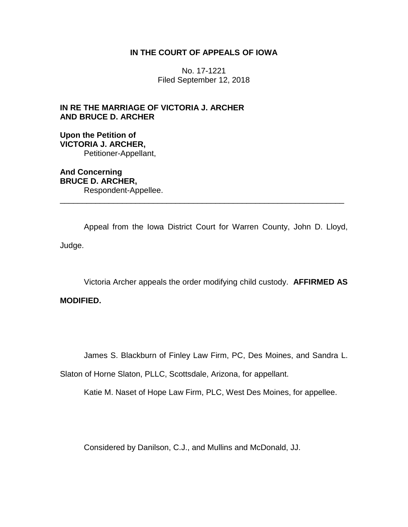## **IN THE COURT OF APPEALS OF IOWA**

No. 17-1221 Filed September 12, 2018

**IN RE THE MARRIAGE OF VICTORIA J. ARCHER AND BRUCE D. ARCHER**

**Upon the Petition of VICTORIA J. ARCHER,** Petitioner-Appellant,

**And Concerning BRUCE D. ARCHER,** Respondent-Appellee. \_\_\_\_\_\_\_\_\_\_\_\_\_\_\_\_\_\_\_\_\_\_\_\_\_\_\_\_\_\_\_\_\_\_\_\_\_\_\_\_\_\_\_\_\_\_\_\_\_\_\_\_\_\_\_\_\_\_\_\_\_\_\_\_

Appeal from the Iowa District Court for Warren County, John D. Lloyd, Judge.

Victoria Archer appeals the order modifying child custody. **AFFIRMED AS** 

# **MODIFIED.**

James S. Blackburn of Finley Law Firm, PC, Des Moines, and Sandra L.

Slaton of Horne Slaton, PLLC, Scottsdale, Arizona, for appellant.

Katie M. Naset of Hope Law Firm, PLC, West Des Moines, for appellee.

Considered by Danilson, C.J., and Mullins and McDonald, JJ.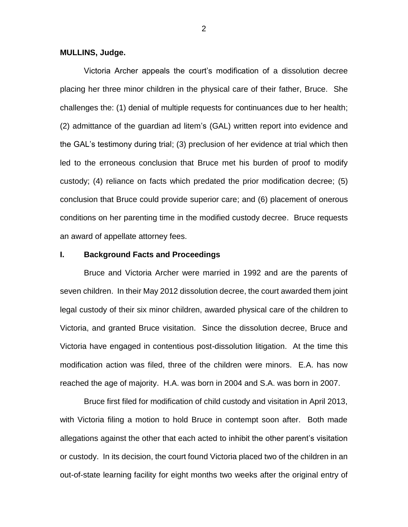#### **MULLINS, Judge.**

Victoria Archer appeals the court's modification of a dissolution decree placing her three minor children in the physical care of their father, Bruce. She challenges the: (1) denial of multiple requests for continuances due to her health; (2) admittance of the guardian ad litem's (GAL) written report into evidence and the GAL's testimony during trial; (3) preclusion of her evidence at trial which then led to the erroneous conclusion that Bruce met his burden of proof to modify custody; (4) reliance on facts which predated the prior modification decree; (5) conclusion that Bruce could provide superior care; and (6) placement of onerous conditions on her parenting time in the modified custody decree. Bruce requests an award of appellate attorney fees.

## **I. Background Facts and Proceedings**

Bruce and Victoria Archer were married in 1992 and are the parents of seven children. In their May 2012 dissolution decree, the court awarded them joint legal custody of their six minor children, awarded physical care of the children to Victoria, and granted Bruce visitation. Since the dissolution decree, Bruce and Victoria have engaged in contentious post-dissolution litigation. At the time this modification action was filed, three of the children were minors. E.A. has now reached the age of majority. H.A. was born in 2004 and S.A. was born in 2007.

Bruce first filed for modification of child custody and visitation in April 2013, with Victoria filing a motion to hold Bruce in contempt soon after. Both made allegations against the other that each acted to inhibit the other parent's visitation or custody. In its decision, the court found Victoria placed two of the children in an out-of-state learning facility for eight months two weeks after the original entry of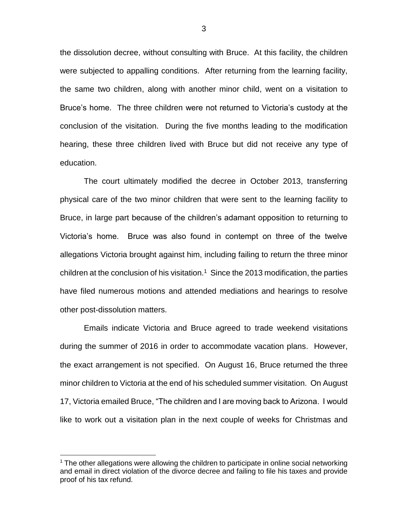the dissolution decree, without consulting with Bruce. At this facility, the children were subjected to appalling conditions. After returning from the learning facility, the same two children, along with another minor child, went on a visitation to Bruce's home. The three children were not returned to Victoria's custody at the conclusion of the visitation. During the five months leading to the modification hearing, these three children lived with Bruce but did not receive any type of education.

The court ultimately modified the decree in October 2013, transferring physical care of the two minor children that were sent to the learning facility to Bruce, in large part because of the children's adamant opposition to returning to Victoria's home. Bruce was also found in contempt on three of the twelve allegations Victoria brought against him, including failing to return the three minor children at the conclusion of his visitation.<sup>1</sup> Since the 2013 modification, the parties have filed numerous motions and attended mediations and hearings to resolve other post-dissolution matters.

Emails indicate Victoria and Bruce agreed to trade weekend visitations during the summer of 2016 in order to accommodate vacation plans. However, the exact arrangement is not specified. On August 16, Bruce returned the three minor children to Victoria at the end of his scheduled summer visitation. On August 17, Victoria emailed Bruce, "The children and I are moving back to Arizona. I would like to work out a visitation plan in the next couple of weeks for Christmas and

 $<sup>1</sup>$  The other allegations were allowing the children to participate in online social networking</sup> and email in direct violation of the divorce decree and failing to file his taxes and provide proof of his tax refund.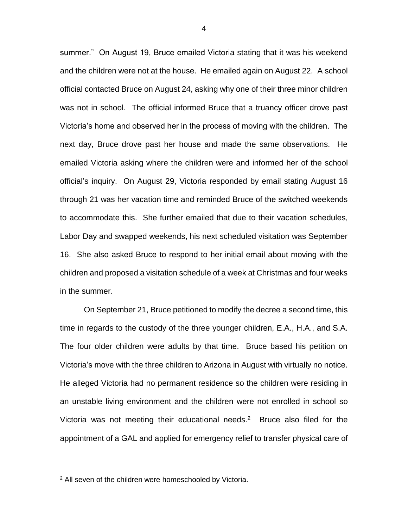summer." On August 19, Bruce emailed Victoria stating that it was his weekend and the children were not at the house. He emailed again on August 22. A school official contacted Bruce on August 24, asking why one of their three minor children was not in school. The official informed Bruce that a truancy officer drove past Victoria's home and observed her in the process of moving with the children. The next day, Bruce drove past her house and made the same observations. He emailed Victoria asking where the children were and informed her of the school official's inquiry. On August 29, Victoria responded by email stating August 16 through 21 was her vacation time and reminded Bruce of the switched weekends to accommodate this. She further emailed that due to their vacation schedules, Labor Day and swapped weekends, his next scheduled visitation was September 16. She also asked Bruce to respond to her initial email about moving with the children and proposed a visitation schedule of a week at Christmas and four weeks in the summer.

On September 21, Bruce petitioned to modify the decree a second time, this time in regards to the custody of the three younger children, E.A., H.A., and S.A. The four older children were adults by that time. Bruce based his petition on Victoria's move with the three children to Arizona in August with virtually no notice. He alleged Victoria had no permanent residence so the children were residing in an unstable living environment and the children were not enrolled in school so Victoria was not meeting their educational needs. $2$  Bruce also filed for the appointment of a GAL and applied for emergency relief to transfer physical care of

<sup>&</sup>lt;sup>2</sup> All seven of the children were homeschooled by Victoria.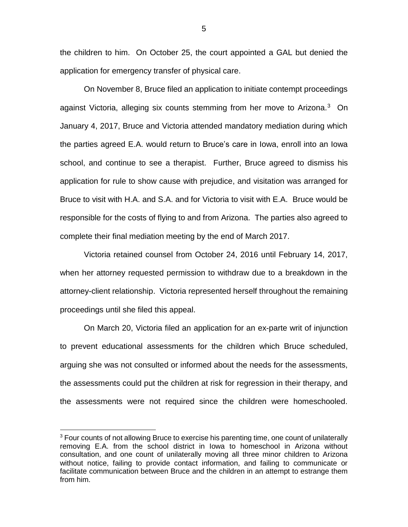the children to him. On October 25, the court appointed a GAL but denied the application for emergency transfer of physical care.

On November 8, Bruce filed an application to initiate contempt proceedings against Victoria, alleging six counts stemming from her move to Arizona.<sup>3</sup> On January 4, 2017, Bruce and Victoria attended mandatory mediation during which the parties agreed E.A. would return to Bruce's care in Iowa, enroll into an Iowa school, and continue to see a therapist. Further, Bruce agreed to dismiss his application for rule to show cause with prejudice, and visitation was arranged for Bruce to visit with H.A. and S.A. and for Victoria to visit with E.A. Bruce would be responsible for the costs of flying to and from Arizona. The parties also agreed to complete their final mediation meeting by the end of March 2017.

Victoria retained counsel from October 24, 2016 until February 14, 2017, when her attorney requested permission to withdraw due to a breakdown in the attorney-client relationship. Victoria represented herself throughout the remaining proceedings until she filed this appeal.

On March 20, Victoria filed an application for an ex-parte writ of injunction to prevent educational assessments for the children which Bruce scheduled, arguing she was not consulted or informed about the needs for the assessments, the assessments could put the children at risk for regression in their therapy, and the assessments were not required since the children were homeschooled.

<sup>&</sup>lt;sup>3</sup> Four counts of not allowing Bruce to exercise his parenting time, one count of unilaterally removing E.A. from the school district in Iowa to homeschool in Arizona without consultation, and one count of unilaterally moving all three minor children to Arizona without notice, failing to provide contact information, and failing to communicate or facilitate communication between Bruce and the children in an attempt to estrange them from him.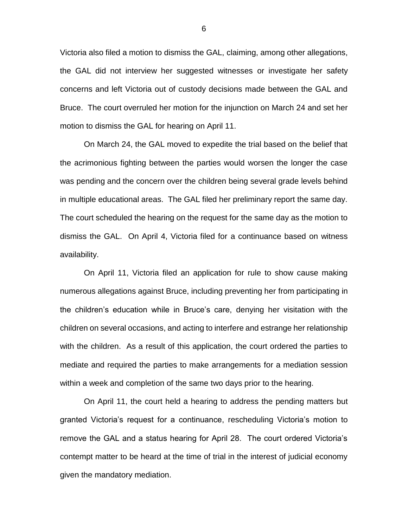Victoria also filed a motion to dismiss the GAL, claiming, among other allegations, the GAL did not interview her suggested witnesses or investigate her safety concerns and left Victoria out of custody decisions made between the GAL and Bruce. The court overruled her motion for the injunction on March 24 and set her motion to dismiss the GAL for hearing on April 11.

On March 24, the GAL moved to expedite the trial based on the belief that the acrimonious fighting between the parties would worsen the longer the case was pending and the concern over the children being several grade levels behind in multiple educational areas. The GAL filed her preliminary report the same day. The court scheduled the hearing on the request for the same day as the motion to dismiss the GAL. On April 4, Victoria filed for a continuance based on witness availability.

On April 11, Victoria filed an application for rule to show cause making numerous allegations against Bruce, including preventing her from participating in the children's education while in Bruce's care, denying her visitation with the children on several occasions, and acting to interfere and estrange her relationship with the children. As a result of this application, the court ordered the parties to mediate and required the parties to make arrangements for a mediation session within a week and completion of the same two days prior to the hearing.

On April 11, the court held a hearing to address the pending matters but granted Victoria's request for a continuance, rescheduling Victoria's motion to remove the GAL and a status hearing for April 28. The court ordered Victoria's contempt matter to be heard at the time of trial in the interest of judicial economy given the mandatory mediation.

6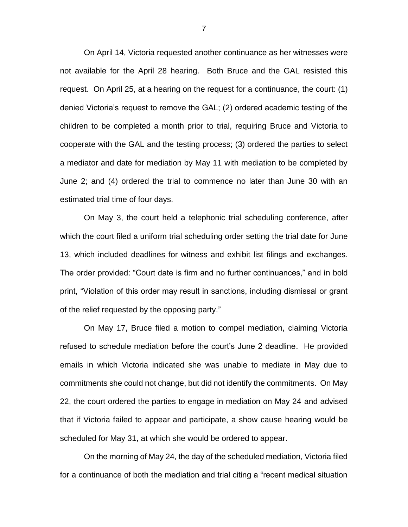On April 14, Victoria requested another continuance as her witnesses were not available for the April 28 hearing. Both Bruce and the GAL resisted this request. On April 25, at a hearing on the request for a continuance, the court: (1) denied Victoria's request to remove the GAL; (2) ordered academic testing of the children to be completed a month prior to trial, requiring Bruce and Victoria to cooperate with the GAL and the testing process; (3) ordered the parties to select a mediator and date for mediation by May 11 with mediation to be completed by June 2; and (4) ordered the trial to commence no later than June 30 with an estimated trial time of four days.

On May 3, the court held a telephonic trial scheduling conference, after which the court filed a uniform trial scheduling order setting the trial date for June 13, which included deadlines for witness and exhibit list filings and exchanges. The order provided: "Court date is firm and no further continuances," and in bold print, "Violation of this order may result in sanctions, including dismissal or grant of the relief requested by the opposing party."

On May 17, Bruce filed a motion to compel mediation, claiming Victoria refused to schedule mediation before the court's June 2 deadline. He provided emails in which Victoria indicated she was unable to mediate in May due to commitments she could not change, but did not identify the commitments. On May 22, the court ordered the parties to engage in mediation on May 24 and advised that if Victoria failed to appear and participate, a show cause hearing would be scheduled for May 31, at which she would be ordered to appear.

On the morning of May 24, the day of the scheduled mediation, Victoria filed for a continuance of both the mediation and trial citing a "recent medical situation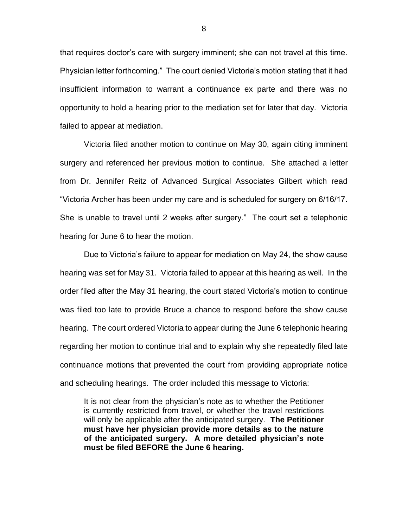that requires doctor's care with surgery imminent; she can not travel at this time. Physician letter forthcoming." The court denied Victoria's motion stating that it had insufficient information to warrant a continuance ex parte and there was no opportunity to hold a hearing prior to the mediation set for later that day. Victoria failed to appear at mediation.

Victoria filed another motion to continue on May 30, again citing imminent surgery and referenced her previous motion to continue. She attached a letter from Dr. Jennifer Reitz of Advanced Surgical Associates Gilbert which read "Victoria Archer has been under my care and is scheduled for surgery on 6/16/17. She is unable to travel until 2 weeks after surgery." The court set a telephonic hearing for June 6 to hear the motion.

Due to Victoria's failure to appear for mediation on May 24, the show cause hearing was set for May 31. Victoria failed to appear at this hearing as well. In the order filed after the May 31 hearing, the court stated Victoria's motion to continue was filed too late to provide Bruce a chance to respond before the show cause hearing. The court ordered Victoria to appear during the June 6 telephonic hearing regarding her motion to continue trial and to explain why she repeatedly filed late continuance motions that prevented the court from providing appropriate notice and scheduling hearings. The order included this message to Victoria:

It is not clear from the physician's note as to whether the Petitioner is currently restricted from travel, or whether the travel restrictions will only be applicable after the anticipated surgery. **The Petitioner must have her physician provide more details as to the nature of the anticipated surgery. A more detailed physician's note must be filed BEFORE the June 6 hearing.**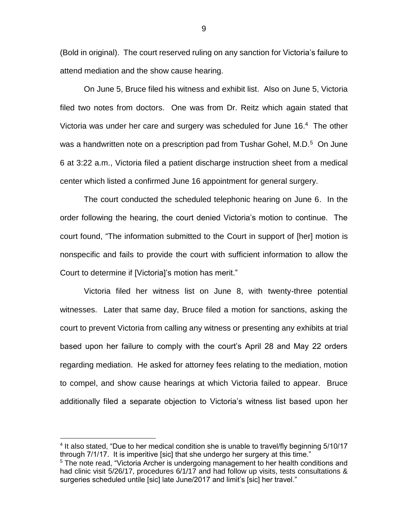(Bold in original). The court reserved ruling on any sanction for Victoria's failure to attend mediation and the show cause hearing.

On June 5, Bruce filed his witness and exhibit list. Also on June 5, Victoria filed two notes from doctors. One was from Dr. Reitz which again stated that Victoria was under her care and surgery was scheduled for June 16.<sup>4</sup> The other was a handwritten note on a prescription pad from Tushar Gohel, M.D.<sup>5</sup> On June 6 at 3:22 a.m., Victoria filed a patient discharge instruction sheet from a medical center which listed a confirmed June 16 appointment for general surgery.

The court conducted the scheduled telephonic hearing on June 6. In the order following the hearing, the court denied Victoria's motion to continue. The court found, "The information submitted to the Court in support of [her] motion is nonspecific and fails to provide the court with sufficient information to allow the Court to determine if [Victoria]'s motion has merit."

Victoria filed her witness list on June 8, with twenty-three potential witnesses. Later that same day, Bruce filed a motion for sanctions, asking the court to prevent Victoria from calling any witness or presenting any exhibits at trial based upon her failure to comply with the court's April 28 and May 22 orders regarding mediation. He asked for attorney fees relating to the mediation, motion to compel, and show cause hearings at which Victoria failed to appear. Bruce additionally filed a separate objection to Victoria's witness list based upon her

<sup>&</sup>lt;sup>4</sup> It also stated, "Due to her medical condition she is unable to travel/fly beginning 5/10/17 through 7/1/17. It is imperitive [sic] that she undergo her surgery at this time."

<sup>&</sup>lt;sup>5</sup> The note read, "Victoria Archer is undergoing management to her health conditions and had clinic visit 5/26/17, procedures 6/1/17 and had follow up visits, tests consultations & surgeries scheduled untile [sic] late June/2017 and limit's [sic] her travel."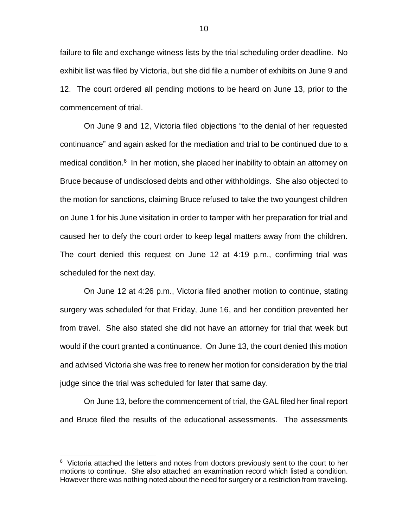failure to file and exchange witness lists by the trial scheduling order deadline. No exhibit list was filed by Victoria, but she did file a number of exhibits on June 9 and 12. The court ordered all pending motions to be heard on June 13, prior to the commencement of trial.

On June 9 and 12, Victoria filed objections "to the denial of her requested continuance" and again asked for the mediation and trial to be continued due to a medical condition.<sup>6</sup> In her motion, she placed her inability to obtain an attorney on Bruce because of undisclosed debts and other withholdings. She also objected to the motion for sanctions, claiming Bruce refused to take the two youngest children on June 1 for his June visitation in order to tamper with her preparation for trial and caused her to defy the court order to keep legal matters away from the children. The court denied this request on June 12 at 4:19 p.m., confirming trial was scheduled for the next day.

On June 12 at 4:26 p.m., Victoria filed another motion to continue, stating surgery was scheduled for that Friday, June 16, and her condition prevented her from travel. She also stated she did not have an attorney for trial that week but would if the court granted a continuance. On June 13, the court denied this motion and advised Victoria she was free to renew her motion for consideration by the trial judge since the trial was scheduled for later that same day.

On June 13, before the commencement of trial, the GAL filed her final report and Bruce filed the results of the educational assessments. The assessments

<sup>&</sup>lt;sup>6</sup> Victoria attached the letters and notes from doctors previously sent to the court to her motions to continue. She also attached an examination record which listed a condition. However there was nothing noted about the need for surgery or a restriction from traveling.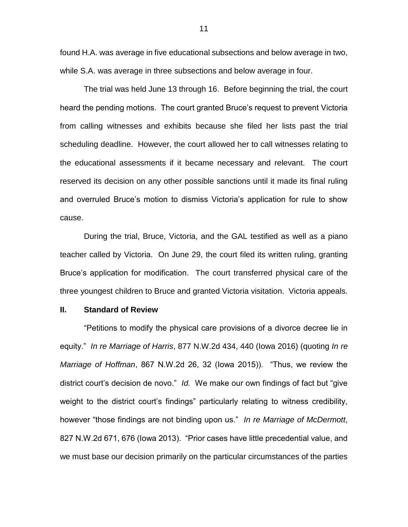found H.A. was average in five educational subsections and below average in two, while S.A. was average in three subsections and below average in four.

The trial was held June 13 through 16. Before beginning the trial, the court heard the pending motions. The court granted Bruce's request to prevent Victoria from calling witnesses and exhibits because she filed her lists past the trial scheduling deadline. However, the court allowed her to call witnesses relating to the educational assessments if it became necessary and relevant. The court reserved its decision on any other possible sanctions until it made its final ruling and overruled Bruce's motion to dismiss Victoria's application for rule to show cause.

During the trial, Bruce, Victoria, and the GAL testified as well as a piano teacher called by Victoria. On June 29, the court filed its written ruling, granting Bruce's application for modification. The court transferred physical care of the three youngest children to Bruce and granted Victoria visitation. Victoria appeals.

## **II. Standard of Review**

"Petitions to modify the physical care provisions of a divorce decree lie in equity." *In re Marriage of Harris*, 877 N.W.2d 434, 440 (Iowa 2016) (quoting *In re Marriage of Hoffman*, 867 N.W.2d 26, 32 (Iowa 2015)). "Thus, we review the district court's decision de novo." *Id.* We make our own findings of fact but "give weight to the district court's findings" particularly relating to witness credibility, however "those findings are not binding upon us." *In re Marriage of McDermott*, 827 N.W.2d 671, 676 (Iowa 2013). "Prior cases have little precedential value, and we must base our decision primarily on the particular circumstances of the parties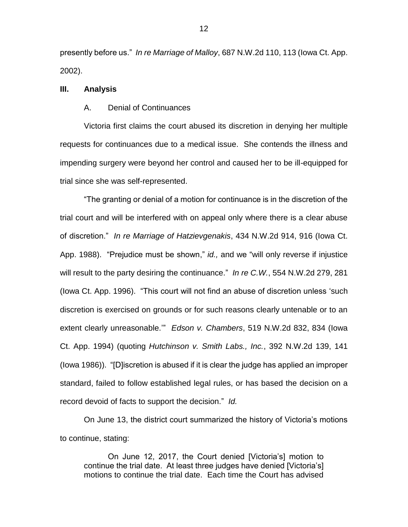presently before us." *In re Marriage of Malloy*, 687 N.W.2d 110, 113 (Iowa Ct. App. 2002).

## **III. Analysis**

#### A. Denial of Continuances

Victoria first claims the court abused its discretion in denying her multiple requests for continuances due to a medical issue. She contends the illness and impending surgery were beyond her control and caused her to be ill-equipped for trial since she was self-represented.

"The granting or denial of a motion for continuance is in the discretion of the trial court and will be interfered with on appeal only where there is a clear abuse of discretion." *In re Marriage of Hatzievgenakis*, 434 N.W.2d 914, 916 (Iowa Ct. App. 1988). "Prejudice must be shown," *id.,* and we "will only reverse if injustice will result to the party desiring the continuance." *In re C.W.*, 554 N.W.2d 279, 281 (Iowa Ct. App. 1996). "This court will not find an abuse of discretion unless 'such discretion is exercised on grounds or for such reasons clearly untenable or to an extent clearly unreasonable.'" *Edson v. Chambers*, 519 N.W.2d 832, 834 (Iowa Ct. App. 1994) (quoting *Hutchinson v. Smith Labs., Inc.*, 392 N.W.2d 139, 141 (Iowa 1986))."[D]iscretion is abused if it is clear the judge has applied an improper standard, failed to follow established legal rules, or has based the decision on a record devoid of facts to support the decision." *Id.*

On June 13, the district court summarized the history of Victoria's motions to continue, stating:

On June 12, 2017, the Court denied [Victoria's] motion to continue the trial date. At least three judges have denied [Victoria's] motions to continue the trial date. Each time the Court has advised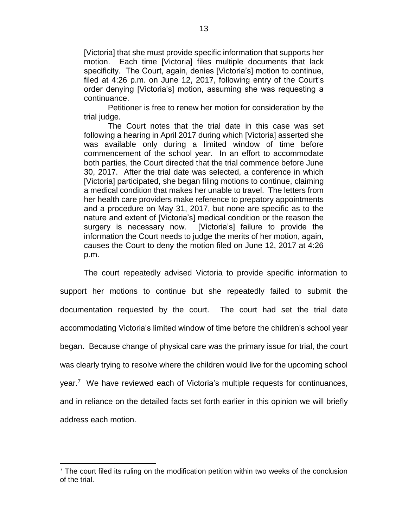[Victoria] that she must provide specific information that supports her motion. Each time [Victoria] files multiple documents that lack specificity. The Court, again, denies [Victoria's] motion to continue, filed at 4:26 p.m. on June 12, 2017, following entry of the Court's order denying [Victoria's] motion, assuming she was requesting a continuance.

Petitioner is free to renew her motion for consideration by the trial judge.

The Court notes that the trial date in this case was set following a hearing in April 2017 during which [Victoria] asserted she was available only during a limited window of time before commencement of the school year. In an effort to accommodate both parties, the Court directed that the trial commence before June 30, 2017. After the trial date was selected, a conference in which [Victoria] participated, she began filing motions to continue, claiming a medical condition that makes her unable to travel. The letters from her health care providers make reference to prepatory appointments and a procedure on May 31, 2017, but none are specific as to the nature and extent of [Victoria's] medical condition or the reason the surgery is necessary now. [Victoria's] failure to provide the information the Court needs to judge the merits of her motion, again, causes the Court to deny the motion filed on June 12, 2017 at 4:26 p.m.

The court repeatedly advised Victoria to provide specific information to support her motions to continue but she repeatedly failed to submit the documentation requested by the court. The court had set the trial date accommodating Victoria's limited window of time before the children's school year began. Because change of physical care was the primary issue for trial, the court was clearly trying to resolve where the children would live for the upcoming school year.<sup>7</sup> We have reviewed each of Victoria's multiple requests for continuances, and in reliance on the detailed facts set forth earlier in this opinion we will briefly address each motion.

 $<sup>7</sup>$  The court filed its ruling on the modification petition within two weeks of the conclusion</sup> of the trial.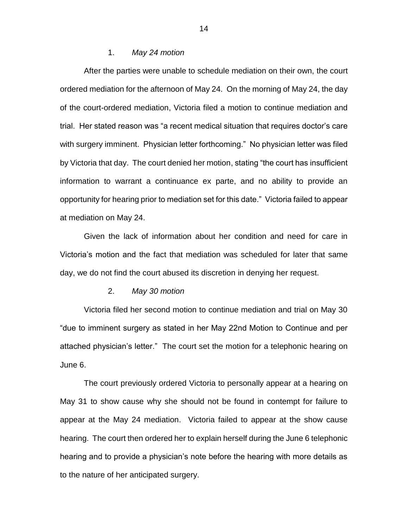#### 1. *May 24 motion*

After the parties were unable to schedule mediation on their own, the court ordered mediation for the afternoon of May 24. On the morning of May 24, the day of the court-ordered mediation, Victoria filed a motion to continue mediation and trial. Her stated reason was "a recent medical situation that requires doctor's care with surgery imminent. Physician letter forthcoming." No physician letter was filed by Victoria that day. The court denied her motion, stating "the court has insufficient information to warrant a continuance ex parte, and no ability to provide an opportunity for hearing prior to mediation set for this date." Victoria failed to appear at mediation on May 24.

Given the lack of information about her condition and need for care in Victoria's motion and the fact that mediation was scheduled for later that same day, we do not find the court abused its discretion in denying her request.

### 2. *May 30 motion*

Victoria filed her second motion to continue mediation and trial on May 30 "due to imminent surgery as stated in her May 22nd Motion to Continue and per attached physician's letter." The court set the motion for a telephonic hearing on June 6.

The court previously ordered Victoria to personally appear at a hearing on May 31 to show cause why she should not be found in contempt for failure to appear at the May 24 mediation. Victoria failed to appear at the show cause hearing. The court then ordered her to explain herself during the June 6 telephonic hearing and to provide a physician's note before the hearing with more details as to the nature of her anticipated surgery.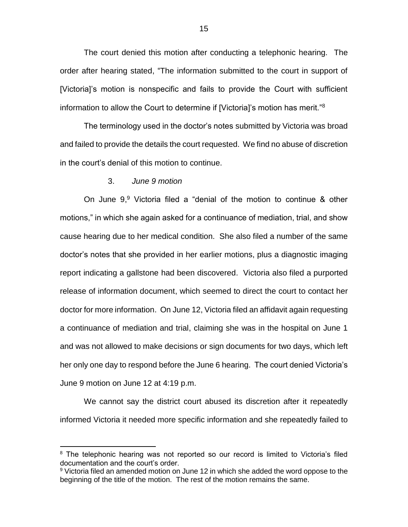The court denied this motion after conducting a telephonic hearing. The order after hearing stated, "The information submitted to the court in support of [Victoria]'s motion is nonspecific and fails to provide the Court with sufficient information to allow the Court to determine if [Victoria]'s motion has merit."<sup>8</sup>

The terminology used in the doctor's notes submitted by Victoria was broad and failed to provide the details the court requested. We find no abuse of discretion in the court's denial of this motion to continue.

## 3. *June 9 motion*

 $\overline{a}$ 

On June 9, <sup>9</sup> Victoria filed a "denial of the motion to continue & other motions," in which she again asked for a continuance of mediation, trial, and show cause hearing due to her medical condition. She also filed a number of the same doctor's notes that she provided in her earlier motions, plus a diagnostic imaging report indicating a gallstone had been discovered. Victoria also filed a purported release of information document, which seemed to direct the court to contact her doctor for more information. On June 12, Victoria filed an affidavit again requesting a continuance of mediation and trial, claiming she was in the hospital on June 1 and was not allowed to make decisions or sign documents for two days, which left her only one day to respond before the June 6 hearing. The court denied Victoria's June 9 motion on June 12 at 4:19 p.m.

We cannot say the district court abused its discretion after it repeatedly informed Victoria it needed more specific information and she repeatedly failed to

<sup>&</sup>lt;sup>8</sup> The telephonic hearing was not reported so our record is limited to Victoria's filed documentation and the court's order.

 $9$  Victoria filed an amended motion on June 12 in which she added the word oppose to the beginning of the title of the motion. The rest of the motion remains the same.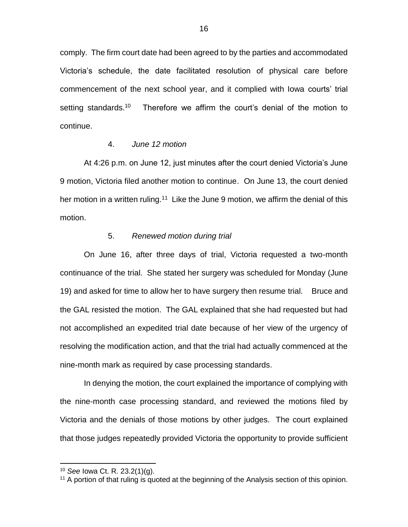comply. The firm court date had been agreed to by the parties and accommodated Victoria's schedule, the date facilitated resolution of physical care before commencement of the next school year, and it complied with Iowa courts' trial setting standards.<sup>10</sup> Therefore we affirm the court's denial of the motion to continue.

## 4. *June 12 motion*

At 4:26 p.m. on June 12, just minutes after the court denied Victoria's June 9 motion, Victoria filed another motion to continue. On June 13, the court denied her motion in a written ruling.<sup>11</sup> Like the June 9 motion, we affirm the denial of this motion.

## 5. *Renewed motion during trial*

On June 16, after three days of trial, Victoria requested a two-month continuance of the trial. She stated her surgery was scheduled for Monday (June 19) and asked for time to allow her to have surgery then resume trial. Bruce and the GAL resisted the motion. The GAL explained that she had requested but had not accomplished an expedited trial date because of her view of the urgency of resolving the modification action, and that the trial had actually commenced at the nine-month mark as required by case processing standards.

In denying the motion, the court explained the importance of complying with the nine-month case processing standard, and reviewed the motions filed by Victoria and the denials of those motions by other judges. The court explained that those judges repeatedly provided Victoria the opportunity to provide sufficient

<sup>10</sup> *See* Iowa Ct. R. 23.2(1)(g).

<sup>&</sup>lt;sup>11</sup> A portion of that ruling is quoted at the beginning of the Analysis section of this opinion.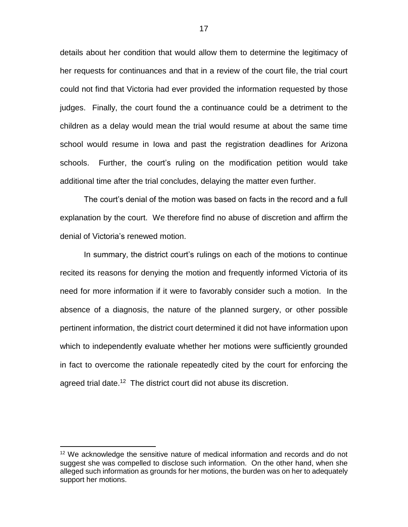details about her condition that would allow them to determine the legitimacy of her requests for continuances and that in a review of the court file, the trial court could not find that Victoria had ever provided the information requested by those judges. Finally, the court found the a continuance could be a detriment to the children as a delay would mean the trial would resume at about the same time school would resume in Iowa and past the registration deadlines for Arizona schools. Further, the court's ruling on the modification petition would take additional time after the trial concludes, delaying the matter even further.

The court's denial of the motion was based on facts in the record and a full explanation by the court. We therefore find no abuse of discretion and affirm the denial of Victoria's renewed motion.

In summary, the district court's rulings on each of the motions to continue recited its reasons for denying the motion and frequently informed Victoria of its need for more information if it were to favorably consider such a motion. In the absence of a diagnosis, the nature of the planned surgery, or other possible pertinent information, the district court determined it did not have information upon which to independently evaluate whether her motions were sufficiently grounded in fact to overcome the rationale repeatedly cited by the court for enforcing the agreed trial date.<sup>12</sup> The district court did not abuse its discretion.

 $12$  We acknowledge the sensitive nature of medical information and records and do not suggest she was compelled to disclose such information. On the other hand, when she alleged such information as grounds for her motions, the burden was on her to adequately support her motions.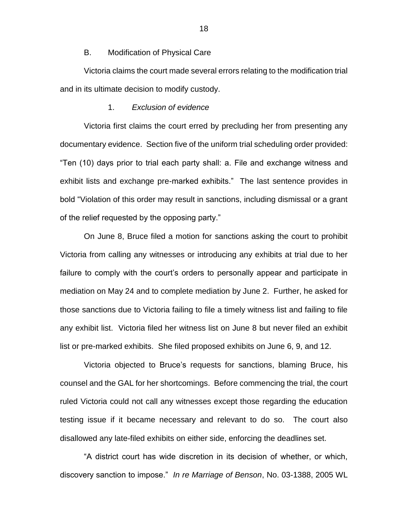## B. Modification of Physical Care

Victoria claims the court made several errors relating to the modification trial and in its ultimate decision to modify custody.

#### 1. *Exclusion of evidence*

Victoria first claims the court erred by precluding her from presenting any documentary evidence. Section five of the uniform trial scheduling order provided: "Ten (10) days prior to trial each party shall: a. File and exchange witness and exhibit lists and exchange pre-marked exhibits." The last sentence provides in bold "Violation of this order may result in sanctions, including dismissal or a grant of the relief requested by the opposing party."

On June 8, Bruce filed a motion for sanctions asking the court to prohibit Victoria from calling any witnesses or introducing any exhibits at trial due to her failure to comply with the court's orders to personally appear and participate in mediation on May 24 and to complete mediation by June 2. Further, he asked for those sanctions due to Victoria failing to file a timely witness list and failing to file any exhibit list. Victoria filed her witness list on June 8 but never filed an exhibit list or pre-marked exhibits. She filed proposed exhibits on June 6, 9, and 12.

Victoria objected to Bruce's requests for sanctions, blaming Bruce, his counsel and the GAL for her shortcomings. Before commencing the trial, the court ruled Victoria could not call any witnesses except those regarding the education testing issue if it became necessary and relevant to do so. The court also disallowed any late-filed exhibits on either side, enforcing the deadlines set.

"A district court has wide discretion in its decision of whether, or which, discovery sanction to impose." *In re Marriage of Benson*, No. 03-1388, 2005 WL

18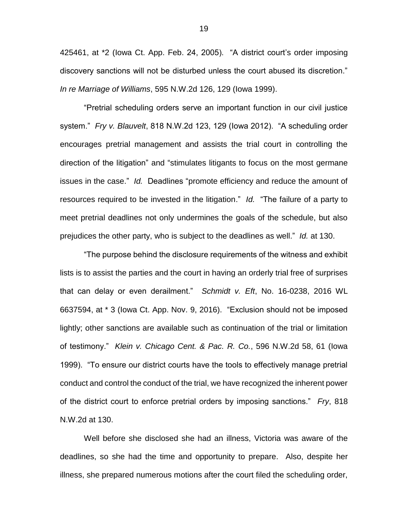425461, at \*2 (Iowa Ct. App. Feb. 24, 2005). "A district court's order imposing discovery sanctions will not be disturbed unless the court abused its discretion." *In re Marriage of Williams*, 595 N.W.2d 126, 129 (Iowa 1999).

"Pretrial scheduling orders serve an important function in our civil justice system." *Fry v. Blauvelt*, 818 N.W.2d 123, 129 (Iowa 2012). "A scheduling order encourages pretrial management and assists the trial court in controlling the direction of the litigation" and "stimulates litigants to focus on the most germane issues in the case." *Id.* Deadlines "promote efficiency and reduce the amount of resources required to be invested in the litigation." *Id.* "The failure of a party to meet pretrial deadlines not only undermines the goals of the schedule, but also prejudices the other party, who is subject to the deadlines as well." *Id.* at 130.

"The purpose behind the disclosure requirements of the witness and exhibit lists is to assist the parties and the court in having an orderly trial free of surprises that can delay or even derailment." *Schmidt v. Eft*, No. 16-0238, 2016 WL 6637594, at \* 3 (Iowa Ct. App. Nov. 9, 2016). "Exclusion should not be imposed lightly; other sanctions are available such as continuation of the trial or limitation of testimony." *Klein v. Chicago Cent. & Pac. R. Co.*, 596 N.W.2d 58, 61 (Iowa 1999). "To ensure our district courts have the tools to effectively manage pretrial conduct and control the conduct of the trial, we have recognized the inherent power of the district court to enforce pretrial orders by imposing sanctions." *Fry*, 818 N.W.2d at 130.

Well before she disclosed she had an illness, Victoria was aware of the deadlines, so she had the time and opportunity to prepare. Also, despite her illness, she prepared numerous motions after the court filed the scheduling order,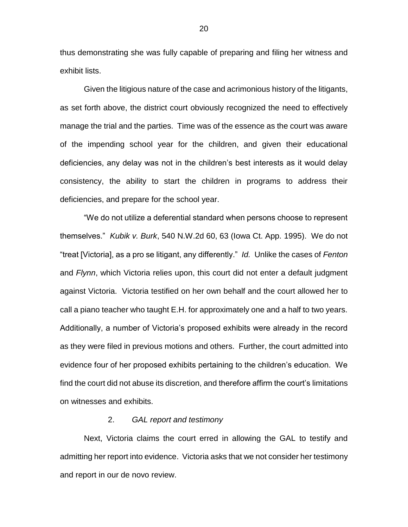thus demonstrating she was fully capable of preparing and filing her witness and exhibit lists.

Given the litigious nature of the case and acrimonious history of the litigants, as set forth above, the district court obviously recognized the need to effectively manage the trial and the parties. Time was of the essence as the court was aware of the impending school year for the children, and given their educational deficiencies, any delay was not in the children's best interests as it would delay consistency, the ability to start the children in programs to address their deficiencies, and prepare for the school year.

"We do not utilize a deferential standard when persons choose to represent themselves." *Kubik v. Burk*, 540 N.W.2d 60, 63 (Iowa Ct. App. 1995). We do not "treat [Victoria], as a pro se litigant, any differently." *Id.* Unlike the cases of *Fenton* and *Flynn*, which Victoria relies upon, this court did not enter a default judgment against Victoria. Victoria testified on her own behalf and the court allowed her to call a piano teacher who taught E.H. for approximately one and a half to two years. Additionally, a number of Victoria's proposed exhibits were already in the record as they were filed in previous motions and others. Further, the court admitted into evidence four of her proposed exhibits pertaining to the children's education. We find the court did not abuse its discretion, and therefore affirm the court's limitations on witnesses and exhibits.

## 2. *GAL report and testimony*

Next, Victoria claims the court erred in allowing the GAL to testify and admitting her report into evidence. Victoria asks that we not consider her testimony and report in our de novo review.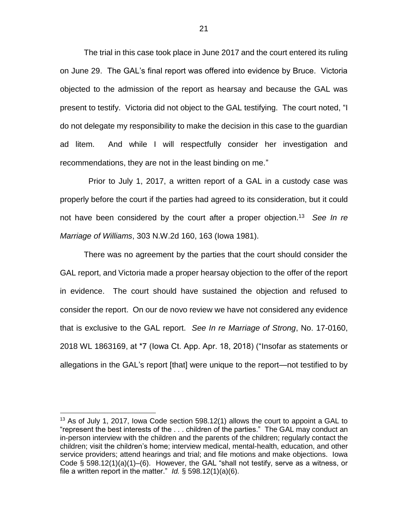The trial in this case took place in June 2017 and the court entered its ruling on June 29. The GAL's final report was offered into evidence by Bruce. Victoria objected to the admission of the report as hearsay and because the GAL was present to testify. Victoria did not object to the GAL testifying. The court noted, "I do not delegate my responsibility to make the decision in this case to the guardian ad litem. And while I will respectfully consider her investigation and recommendations, they are not in the least binding on me."

 Prior to July 1, 2017, a written report of a GAL in a custody case was properly before the court if the parties had agreed to its consideration, but it could not have been considered by the court after a proper objection.<sup>13</sup> *See In re Marriage of Williams*, 303 N.W.2d 160, 163 (Iowa 1981).

There was no agreement by the parties that the court should consider the GAL report, and Victoria made a proper hearsay objection to the offer of the report in evidence. The court should have sustained the objection and refused to consider the report. On our de novo review we have not considered any evidence that is exclusive to the GAL report. *See In re Marriage of Strong*, No. 17-0160, 2018 WL 1863169, at \*7 (Iowa Ct. App. Apr. 18, 2018) ("Insofar as statements or allegations in the GAL's report [that] were unique to the report—not testified to by

<sup>&</sup>lt;sup>13</sup> As of July 1, 2017, Iowa Code section 598.12(1) allows the court to appoint a GAL to "represent the best interests of the . . . children of the parties." The GAL may conduct an in-person interview with the children and the parents of the children; regularly contact the children; visit the children's home; interview medical, mental-health, education, and other service providers; attend hearings and trial; and file motions and make objections. Iowa Code  $\S$  598.12(1)(a)(1)–(6). However, the GAL "shall not testify, serve as a witness, or file a written report in the matter." *Id.*  $\S$  598.12(1)(a)(6).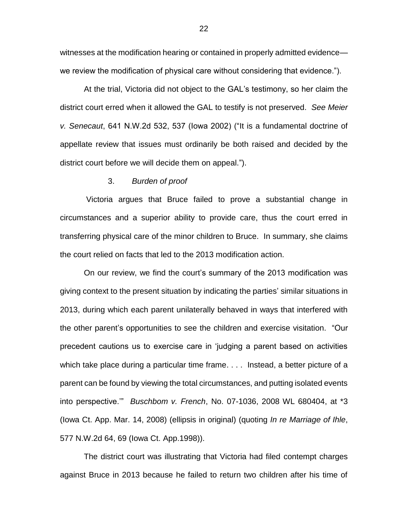witnesses at the modification hearing or contained in properly admitted evidence we review the modification of physical care without considering that evidence.").

At the trial, Victoria did not object to the GAL's testimony, so her claim the district court erred when it allowed the GAL to testify is not preserved. *See Meier v. Senecaut*, 641 N.W.2d 532, 537 (Iowa 2002) ("It is a fundamental doctrine of appellate review that issues must ordinarily be both raised and decided by the district court before we will decide them on appeal.").

#### 3. *Burden of proof*

Victoria argues that Bruce failed to prove a substantial change in circumstances and a superior ability to provide care, thus the court erred in transferring physical care of the minor children to Bruce. In summary, she claims the court relied on facts that led to the 2013 modification action.

On our review, we find the court's summary of the 2013 modification was giving context to the present situation by indicating the parties' similar situations in 2013, during which each parent unilaterally behaved in ways that interfered with the other parent's opportunities to see the children and exercise visitation. "Our precedent cautions us to exercise care in 'judging a parent based on activities which take place during a particular time frame. . . . Instead, a better picture of a parent can be found by viewing the total circumstances, and putting isolated events into perspective.'" *Buschbom v. French*, No. 07-1036, 2008 WL 680404, at \*3 (Iowa Ct. App. Mar. 14, 2008) (ellipsis in original) (quoting *In re Marriage of Ihle*, 577 N.W.2d 64, 69 (Iowa Ct. App.1998)).

The district court was illustrating that Victoria had filed contempt charges against Bruce in 2013 because he failed to return two children after his time of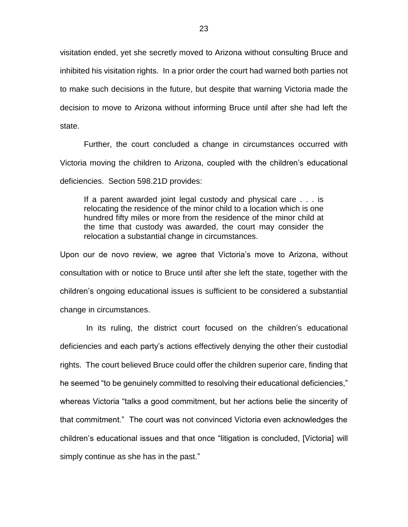visitation ended, yet she secretly moved to Arizona without consulting Bruce and inhibited his visitation rights. In a prior order the court had warned both parties not to make such decisions in the future, but despite that warning Victoria made the decision to move to Arizona without informing Bruce until after she had left the state.

Further, the court concluded a change in circumstances occurred with Victoria moving the children to Arizona, coupled with the children's educational deficiencies. Section 598.21D provides:

If a parent awarded joint legal custody and physical care . . . is relocating the residence of the minor child to a location which is one hundred fifty miles or more from the residence of the minor child at the time that custody was awarded, the court may consider the relocation a substantial change in circumstances.

Upon our de novo review, we agree that Victoria's move to Arizona, without consultation with or notice to Bruce until after she left the state, together with the children's ongoing educational issues is sufficient to be considered a substantial change in circumstances.

In its ruling, the district court focused on the children's educational deficiencies and each party's actions effectively denying the other their custodial rights. The court believed Bruce could offer the children superior care, finding that he seemed "to be genuinely committed to resolving their educational deficiencies," whereas Victoria "talks a good commitment, but her actions belie the sincerity of that commitment." The court was not convinced Victoria even acknowledges the children's educational issues and that once "litigation is concluded, [Victoria] will simply continue as she has in the past."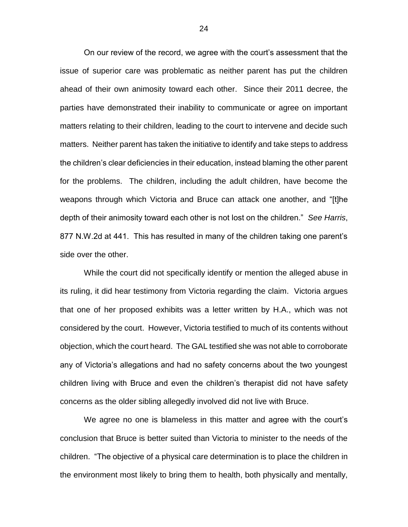On our review of the record, we agree with the court's assessment that the issue of superior care was problematic as neither parent has put the children ahead of their own animosity toward each other. Since their 2011 decree, the parties have demonstrated their inability to communicate or agree on important matters relating to their children, leading to the court to intervene and decide such matters. Neither parent has taken the initiative to identify and take steps to address the children's clear deficiencies in their education, instead blaming the other parent for the problems. The children, including the adult children, have become the weapons through which Victoria and Bruce can attack one another, and "[t]he depth of their animosity toward each other is not lost on the children." *See Harris*, 877 N.W.2d at 441. This has resulted in many of the children taking one parent's side over the other.

While the court did not specifically identify or mention the alleged abuse in its ruling, it did hear testimony from Victoria regarding the claim. Victoria argues that one of her proposed exhibits was a letter written by H.A., which was not considered by the court. However, Victoria testified to much of its contents without objection, which the court heard. The GAL testified she was not able to corroborate any of Victoria's allegations and had no safety concerns about the two youngest children living with Bruce and even the children's therapist did not have safety concerns as the older sibling allegedly involved did not live with Bruce.

We agree no one is blameless in this matter and agree with the court's conclusion that Bruce is better suited than Victoria to minister to the needs of the children. "The objective of a physical care determination is to place the children in the environment most likely to bring them to health, both physically and mentally,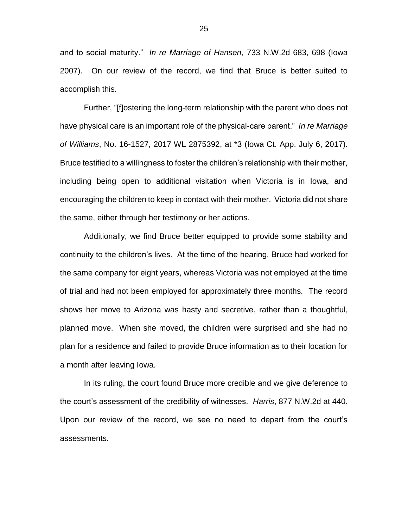and to social maturity." *In re Marriage of Hansen*, 733 N.W.2d 683, 698 (Iowa 2007). On our review of the record, we find that Bruce is better suited to accomplish this.

Further, "[f]ostering the long-term relationship with the parent who does not have physical care is an important role of the physical-care parent." *In re Marriage of Williams*, No. 16-1527, 2017 WL 2875392, at \*3 (Iowa Ct. App. July 6, 2017). Bruce testified to a willingness to foster the children's relationship with their mother, including being open to additional visitation when Victoria is in Iowa, and encouraging the children to keep in contact with their mother. Victoria did not share the same, either through her testimony or her actions.

Additionally, we find Bruce better equipped to provide some stability and continuity to the children's lives. At the time of the hearing, Bruce had worked for the same company for eight years, whereas Victoria was not employed at the time of trial and had not been employed for approximately three months. The record shows her move to Arizona was hasty and secretive, rather than a thoughtful, planned move. When she moved, the children were surprised and she had no plan for a residence and failed to provide Bruce information as to their location for a month after leaving Iowa.

In its ruling, the court found Bruce more credible and we give deference to the court's assessment of the credibility of witnesses. *Harris*, 877 N.W.2d at 440. Upon our review of the record, we see no need to depart from the court's assessments.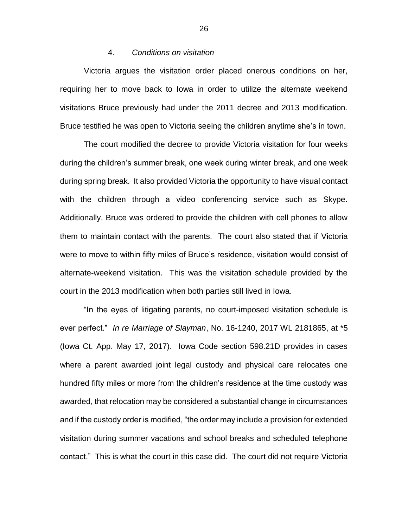#### 4. *Conditions on visitation*

Victoria argues the visitation order placed onerous conditions on her, requiring her to move back to Iowa in order to utilize the alternate weekend visitations Bruce previously had under the 2011 decree and 2013 modification. Bruce testified he was open to Victoria seeing the children anytime she's in town.

The court modified the decree to provide Victoria visitation for four weeks during the children's summer break, one week during winter break, and one week during spring break. It also provided Victoria the opportunity to have visual contact with the children through a video conferencing service such as Skype. Additionally, Bruce was ordered to provide the children with cell phones to allow them to maintain contact with the parents. The court also stated that if Victoria were to move to within fifty miles of Bruce's residence, visitation would consist of alternate-weekend visitation. This was the visitation schedule provided by the court in the 2013 modification when both parties still lived in Iowa.

"In the eyes of litigating parents, no court-imposed visitation schedule is ever perfect." *In re Marriage of Slayman*, No. 16-1240, 2017 WL 2181865, at \*5 (Iowa Ct. App. May 17, 2017). Iowa Code section 598.21D provides in cases where a parent awarded joint legal custody and physical care relocates one hundred fifty miles or more from the children's residence at the time custody was awarded, that relocation may be considered a substantial change in circumstances and if the custody order is modified, "the order may include a provision for extended visitation during summer vacations and school breaks and scheduled telephone contact." This is what the court in this case did. The court did not require Victoria

26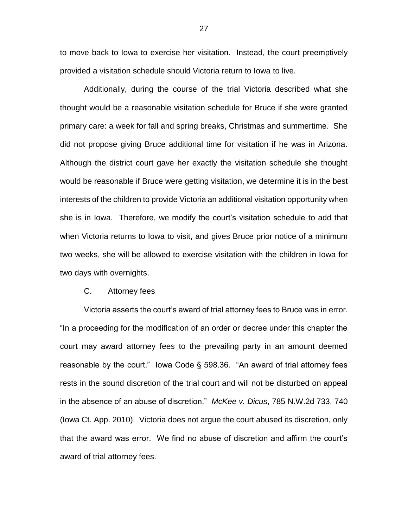to move back to Iowa to exercise her visitation. Instead, the court preemptively provided a visitation schedule should Victoria return to Iowa to live.

Additionally, during the course of the trial Victoria described what she thought would be a reasonable visitation schedule for Bruce if she were granted primary care: a week for fall and spring breaks, Christmas and summertime. She did not propose giving Bruce additional time for visitation if he was in Arizona. Although the district court gave her exactly the visitation schedule she thought would be reasonable if Bruce were getting visitation, we determine it is in the best interests of the children to provide Victoria an additional visitation opportunity when she is in Iowa. Therefore, we modify the court's visitation schedule to add that when Victoria returns to Iowa to visit, and gives Bruce prior notice of a minimum two weeks, she will be allowed to exercise visitation with the children in Iowa for two days with overnights.

#### C. Attorney fees

Victoria asserts the court's award of trial attorney fees to Bruce was in error. "In a proceeding for the modification of an order or decree under this chapter the court may award attorney fees to the prevailing party in an amount deemed reasonable by the court." Iowa Code § 598.36. "An award of trial attorney fees rests in the sound discretion of the trial court and will not be disturbed on appeal in the absence of an abuse of discretion." *McKee v. Dicus*, 785 N.W.2d 733, 740 (Iowa Ct. App. 2010). Victoria does not argue the court abused its discretion, only that the award was error. We find no abuse of discretion and affirm the court's award of trial attorney fees.